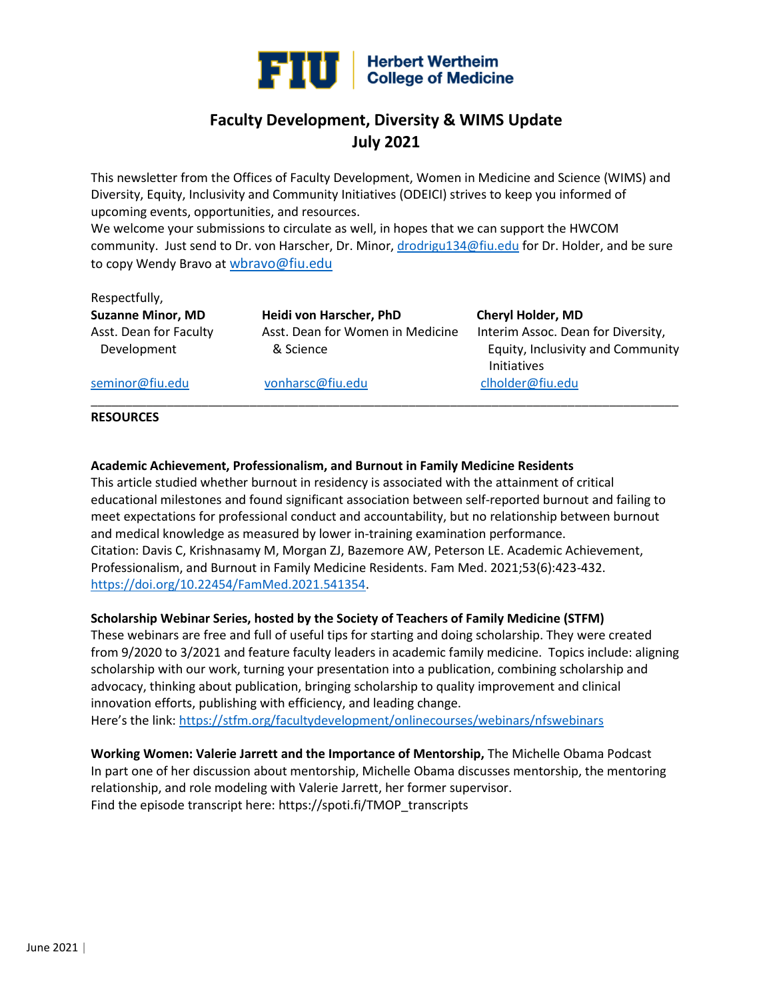

# **Faculty Development, Diversity & WIMS Update July 2021**

This newsletter from the Offices of Faculty Development, Women in Medicine and Science (WIMS) and Diversity, Equity, Inclusivity and Community Initiatives (ODEICI) strives to keep you informed of upcoming events, opportunities, and resources.

We welcome your submissions to circulate as well, in hopes that we can support the HWCOM community. Just send to Dr. von Harscher, Dr. Minor[, drodrigu134@fiu.edu](mailto:drodrigu134@fiu.edu) for Dr. Holder, and be sure to copy Wendy Bravo at [wbravo@fiu.edu](mailto:wbravo@fiu.edu)

# Respectfully,

**Suzanne Minor, MD Heidi von Harscher, PhD Cheryl Holder, MD** Asst. Dean for Faculty Asst. Dean for Women in Medicine Interim Assoc. Dean for Diversity, Development & Science Equity, Inclusivity and Community

Initiatives

[seminor@fiu.edu](mailto:seminor@fiu.edu) [vonharsc@fiu.edu](mailto:vonharsc@fiu.edu) [clholder@fiu.edu](mailto:clholder@fiu.edu)

**RESOURCES**

### **Academic Achievement, Professionalism, and Burnout in Family Medicine Residents**

This article studied whether burnout in residency is associated with the attainment of critical educational milestones and found significant association between self-reported burnout and failing to meet expectations for professional conduct and accountability, but no relationship between burnout and medical knowledge as measured by lower in-training examination performance. Citation: Davis C, Krishnasamy M, Morgan ZJ, Bazemore AW, Peterson LE. Academic Achievement, Professionalism, and Burnout in Family Medicine Residents. Fam Med. 2021;53(6):423-432. [https://doi.org/10.22454/FamMed.2021.541354.](https://doi.org/10.22454/FamMed.2021.541354)

\_\_\_\_\_\_\_\_\_\_\_\_\_\_\_\_\_\_\_\_\_\_\_\_\_\_\_\_\_\_\_\_\_\_\_\_\_\_\_\_\_\_\_\_\_\_\_\_\_\_\_\_\_\_\_\_\_\_\_\_\_\_\_\_\_\_\_\_\_\_\_\_\_\_\_\_\_\_\_\_\_\_\_\_\_

### **Scholarship Webinar Series, hosted by the Society of Teachers of Family Medicine (STFM)**

These webinars are free and full of useful tips for starting and doing scholarship. They were created from 9/2020 to 3/2021 and feature faculty leaders in academic family medicine. Topics include: aligning scholarship with our work, turning your presentation into a publication, combining scholarship and advocacy, thinking about publication, bringing scholarship to quality improvement and clinical innovation efforts, publishing with efficiency, and leading change. Here's the link: <https://stfm.org/facultydevelopment/onlinecourses/webinars/nfswebinars>

**Working Women: Valerie Jarrett and the Importance of Mentorship,** The Michelle Obama Podcast In part one of her discussion about mentorship, Michelle Obama discusses mentorship, the mentoring relationship, and role modeling with Valerie Jarrett, her former supervisor. Find the episode transcript here: [https://spoti.fi/TMOP\\_transcripts](https://spoti.fi/TMOP_transcripts)